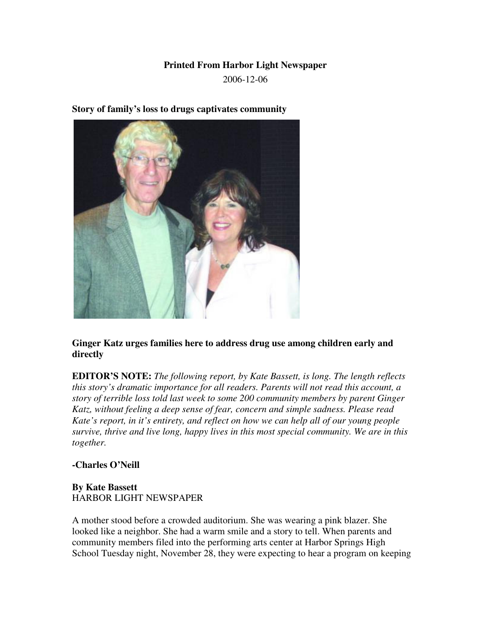## **Printed From Harbor Light Newspaper**

2006-12-06

**Story of family's loss to drugs captivates community**

**Ginger Katz urges families here to address drug use among children early and directly**

**EDITOR'S NOTE:** *The following report, by Kate Bassett, is long. The length reflects this story's dramatic importance for all readers. Parents will not read this account, a story of terrible loss told last week to some 200 community members by parent Ginger Katz, without feeling a deep sense of fear, concern and simple sadness. Please read Kate's report, in it's entirety, and reflect on how we can help all of our young people survive, thrive and live long, happy lives in this most special community. We are in this together.*

## **-Charles O'Neill**

## **By Kate Bassett** HARBOR LIGHT NEWSPAPER

A mother stood before a crowded auditorium. She was wearing a pink blazer. She looked like a neighbor. She had a warm smile and a story to tell. When parents and community members filed into the performing arts center at Harbor Springs High School Tuesday night, November 28, they were expecting to hear a program on keeping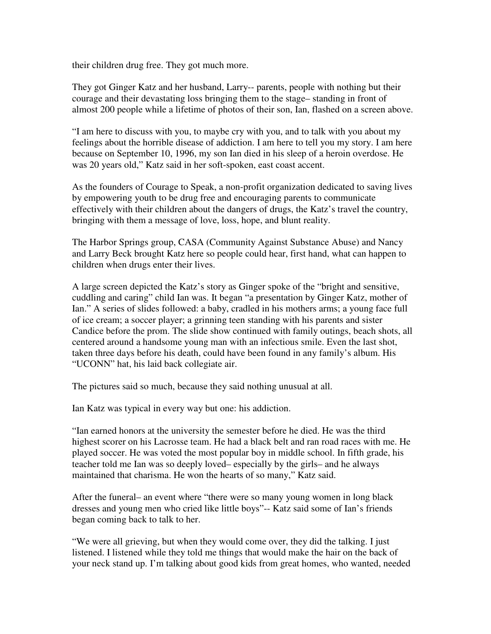their children drug free. They got much more.

They got Ginger Katz and her husband, Larry-- parents, people with nothing but their courage and their devastating loss bringing them to the stage– standing in front of almost 200 people while a lifetime of photos of their son, Ian, flashed on a screen above.

"I am here to discuss with you, to maybe cry with you, and to talk with you about my feelings about the horrible disease of addiction. I am here to tell you my story. I am here because on September 10, 1996, my son Ian died in his sleep of a heroin overdose. He was 20 years old," Katz said in her soft-spoken, east coast accent.

As the founders of Courage to Speak, a non-profit organization dedicated to saving lives by empowering youth to be drug free and encouraging parents to communicate effectively with their children about the dangers of drugs, the Katz's travel the country, bringing with them a message of love, loss, hope, and blunt reality.

The Harbor Springs group, CASA (Community Against Substance Abuse) and Nancy and Larry Beck brought Katz here so people could hear, first hand, what can happen to children when drugs enter their lives.

A large screen depicted the Katz's story as Ginger spoke of the "bright and sensitive, cuddling and caring" child Ian was. It began "a presentation by Ginger Katz, mother of Ian." A series of slides followed: a baby, cradled in his mothers arms; a young face full of ice cream; a soccer player; a grinning teen standing with his parents and sister Candice before the prom. The slide show continued with family outings, beach shots, all centered around a handsome young man with an infectious smile. Even the last shot, taken three days before his death, could have been found in any family's album. His "UCONN" hat, his laid back collegiate air.

The pictures said so much, because they said nothing unusual at all.

Ian Katz was typical in every way but one: his addiction.

"Ian earned honors at the university the semester before he died. He was the third highest scorer on his Lacrosse team. He had a black belt and ran road races with me. He played soccer. He was voted the most popular boy in middle school. In fifth grade, his teacher told me Ian was so deeply loved– especially by the girls– and he always maintained that charisma. He won the hearts of so many," Katz said.

After the funeral– an event where "there were so many young women in long black dresses and young men who cried like little boys"-- Katz said some of Ian's friends began coming back to talk to her.

"We were all grieving, but when they would come over, they did the talking. I just listened. I listened while they told me things that would make the hair on the back of your neck stand up. I'm talking about good kids from great homes, who wanted, needed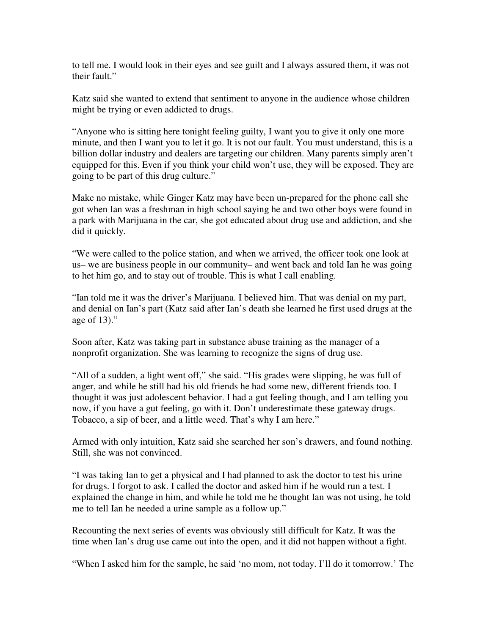to tell me. I would look in their eyes and see guilt and I always assured them, it was not their fault."

Katz said she wanted to extend that sentiment to anyone in the audience whose children might be trying or even addicted to drugs.

"Anyone who is sitting here tonight feeling guilty, I want you to give it only one more minute, and then I want you to let it go. It is not our fault. You must understand, this is a billion dollar industry and dealers are targeting our children. Many parents simply aren't equipped for this. Even if you think your child won't use, they will be exposed. They are going to be part of this drug culture."

Make no mistake, while Ginger Katz may have been un-prepared for the phone call she got when Ian was a freshman in high school saying he and two other boys were found in a park with Marijuana in the car, she got educated about drug use and addiction, and she did it quickly.

"We were called to the police station, and when we arrived, the officer took one look at us– we are business people in our community– and went back and told Ian he was going to het him go, and to stay out of trouble. This is what I call enabling.

"Ian told me it was the driver's Marijuana. I believed him. That was denial on my part, and denial on Ian's part (Katz said after Ian's death she learned he first used drugs at the age of 13)."

Soon after, Katz was taking part in substance abuse training as the manager of a nonprofit organization. She was learning to recognize the signs of drug use.

"All of a sudden, a light went off," she said. "His grades were slipping, he was full of anger, and while he still had his old friends he had some new, different friends too. I thought it was just adolescent behavior. I had a gut feeling though, and I am telling you now, if you have a gut feeling, go with it. Don't underestimate these gateway drugs. Tobacco, a sip of beer, and a little weed. That's why I am here."

Armed with only intuition, Katz said she searched her son's drawers, and found nothing. Still, she was not convinced.

"I was taking Ian to get a physical and I had planned to ask the doctor to test his urine for drugs. I forgot to ask. I called the doctor and asked him if he would run a test. I explained the change in him, and while he told me he thought Ian was not using, he told me to tell Ian he needed a urine sample as a follow up."

Recounting the next series of events was obviously still difficult for Katz. It was the time when Ian's drug use came out into the open, and it did not happen without a fight.

"When I asked him for the sample, he said 'no mom, not today. I'll do it tomorrow.' The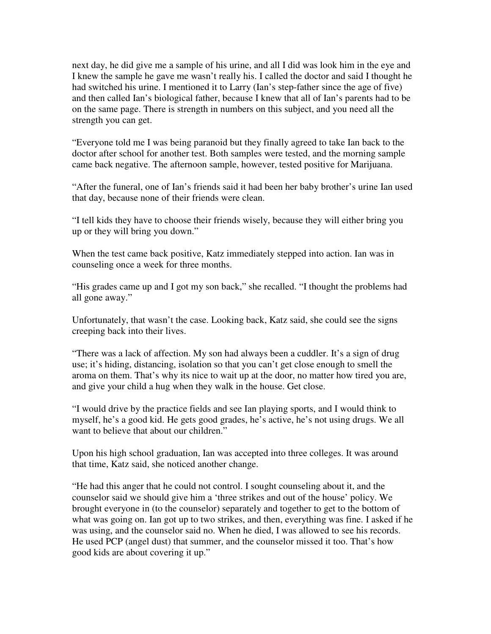next day, he did give me a sample of his urine, and all I did was look him in the eye and I knew the sample he gave me wasn't really his. I called the doctor and said I thought he had switched his urine. I mentioned it to Larry (Ian's step-father since the age of five) and then called Ian's biological father, because I knew that all of Ian's parents had to be on the same page. There is strength in numbers on this subject, and you need all the strength you can get.

"Everyone told me I was being paranoid but they finally agreed to take Ian back to the doctor after school for another test. Both samples were tested, and the morning sample came back negative. The afternoon sample, however, tested positive for Marijuana.

"After the funeral, one of Ian's friends said it had been her baby brother's urine Ian used that day, because none of their friends were clean.

"I tell kids they have to choose their friends wisely, because they will either bring you up or they will bring you down."

When the test came back positive, Katz immediately stepped into action. Ian was in counseling once a week for three months.

"His grades came up and I got my son back," she recalled. "I thought the problems had all gone away."

Unfortunately, that wasn't the case. Looking back, Katz said, she could see the signs creeping back into their lives.

"There was a lack of affection. My son had always been a cuddler. It's a sign of drug use; it's hiding, distancing, isolation so that you can't get close enough to smell the aroma on them. That's why its nice to wait up at the door, no matter how tired you are, and give your child a hug when they walk in the house. Get close.

"I would drive by the practice fields and see Ian playing sports, and I would think to myself, he's a good kid. He gets good grades, he's active, he's not using drugs. We all want to believe that about our children."

Upon his high school graduation, Ian was accepted into three colleges. It was around that time, Katz said, she noticed another change.

"He had this anger that he could not control. I sought counseling about it, and the counselor said we should give him a 'three strikes and out of the house' policy. We brought everyone in (to the counselor) separately and together to get to the bottom of what was going on. Ian got up to two strikes, and then, everything was fine. I asked if he was using, and the counselor said no. When he died, I was allowed to see his records. He used PCP (angel dust) that summer, and the counselor missed it too. That's how good kids are about covering it up."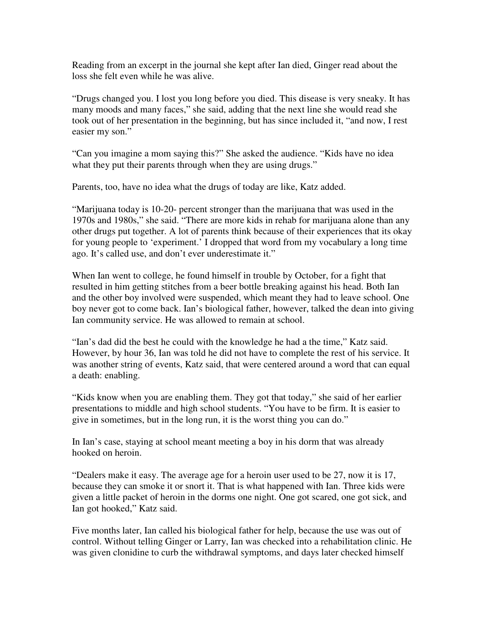Reading from an excerpt in the journal she kept after Ian died, Ginger read about the loss she felt even while he was alive.

"Drugs changed you. I lost you long before you died. This disease is very sneaky. It has many moods and many faces," she said, adding that the next line she would read she took out of her presentation in the beginning, but has since included it, "and now, I rest easier my son."

"Can you imagine a mom saying this?" She asked the audience. "Kids have no idea what they put their parents through when they are using drugs."

Parents, too, have no idea what the drugs of today are like, Katz added.

"Marijuana today is 10-20- percent stronger than the marijuana that was used in the 1970s and 1980s," she said. "There are more kids in rehab for marijuana alone than any other drugs put together. A lot of parents think because of their experiences that its okay for young people to 'experiment.' I dropped that word from my vocabulary a long time ago. It's called use, and don't ever underestimate it."

When Ian went to college, he found himself in trouble by October, for a fight that resulted in him getting stitches from a beer bottle breaking against his head. Both Ian and the other boy involved were suspended, which meant they had to leave school. One boy never got to come back. Ian's biological father, however, talked the dean into giving Ian community service. He was allowed to remain at school.

"Ian's dad did the best he could with the knowledge he had a the time," Katz said. However, by hour 36, Ian was told he did not have to complete the rest of his service. It was another string of events, Katz said, that were centered around a word that can equal a death: enabling.

"Kids know when you are enabling them. They got that today," she said of her earlier presentations to middle and high school students. "You have to be firm. It is easier to give in sometimes, but in the long run, it is the worst thing you can do."

In Ian's case, staying at school meant meeting a boy in his dorm that was already hooked on heroin.

"Dealers make it easy. The average age for a heroin user used to be 27, now it is 17, because they can smoke it or snort it. That is what happened with Ian. Three kids were given a little packet of heroin in the dorms one night. One got scared, one got sick, and Ian got hooked," Katz said.

Five months later, Ian called his biological father for help, because the use was out of control. Without telling Ginger or Larry, Ian was checked into a rehabilitation clinic. He was given clonidine to curb the withdrawal symptoms, and days later checked himself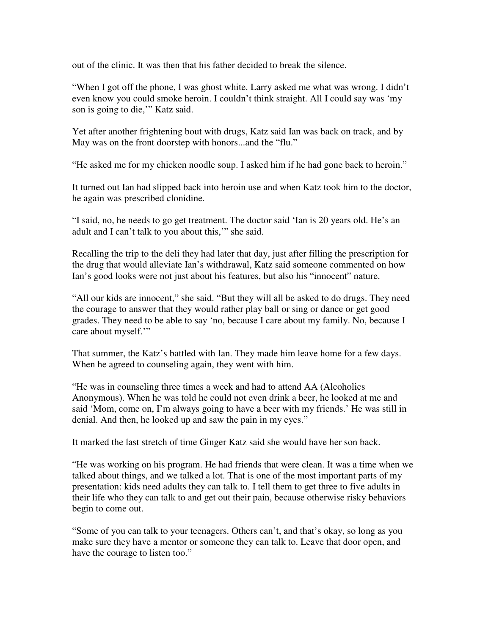out of the clinic. It was then that his father decided to break the silence.

"When I got off the phone, I was ghost white. Larry asked me what was wrong. I didn't even know you could smoke heroin. I couldn't think straight. All I could say was 'my son is going to die,'" Katz said.

Yet after another frightening bout with drugs, Katz said Ian was back on track, and by May was on the front doorstep with honors...and the "flu."

"He asked me for my chicken noodle soup. I asked him if he had gone back to heroin."

It turned out Ian had slipped back into heroin use and when Katz took him to the doctor, he again was prescribed clonidine.

"I said, no, he needs to go get treatment. The doctor said 'Ian is 20 years old. He's an adult and I can't talk to you about this,'" she said.

Recalling the trip to the deli they had later that day, just after filling the prescription for the drug that would alleviate Ian's withdrawal, Katz said someone commented on how Ian's good looks were not just about his features, but also his "innocent" nature.

"All our kids are innocent," she said. "But they will all be asked to do drugs. They need the courage to answer that they would rather play ball or sing or dance or get good grades. They need to be able to say 'no, because I care about my family. No, because I care about myself."

That summer, the Katz's battled with Ian. They made him leave home for a few days. When he agreed to counseling again, they went with him.

"He was in counseling three times a week and had to attend AA (Alcoholics Anonymous). When he was told he could not even drink a beer, he looked at me and said 'Mom, come on, I'm always going to have a beer with my friends.' He was still in denial. And then, he looked up and saw the pain in my eyes."

It marked the last stretch of time Ginger Katz said she would have her son back.

"He was working on his program. He had friends that were clean. It was a time when we talked about things, and we talked a lot. That is one of the most important parts of my presentation: kids need adults they can talk to. I tell them to get three to five adults in their life who they can talk to and get out their pain, because otherwise risky behaviors begin to come out.

"Some of you can talk to your teenagers. Others can't, and that's okay, so long as you make sure they have a mentor or someone they can talk to. Leave that door open, and have the courage to listen too."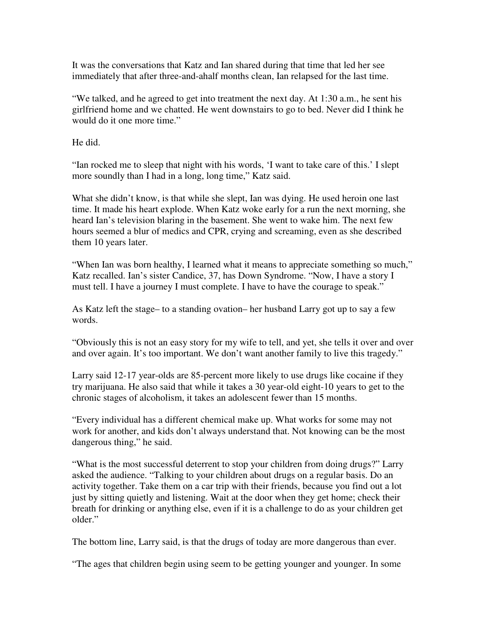It was the conversations that Katz and Ian shared during that time that led her see immediately that after three-and-ahalf months clean, Ian relapsed for the last time.

"We talked, and he agreed to get into treatment the next day. At 1:30 a.m., he sent his girlfriend home and we chatted. He went downstairs to go to bed. Never did I think he would do it one more time."

He did.

"Ian rocked me to sleep that night with his words, 'I want to take care of this.' I slept more soundly than I had in a long, long time," Katz said.

What she didn't know, is that while she slept, Ian was dying. He used heroin one last time. It made his heart explode. When Katz woke early for a run the next morning, she heard Ian's television blaring in the basement. She went to wake him. The next few hours seemed a blur of medics and CPR, crying and screaming, even as she described them 10 years later.

"When Ian was born healthy, I learned what it means to appreciate something so much," Katz recalled. Ian's sister Candice, 37, has Down Syndrome. "Now, I have a story I must tell. I have a journey I must complete. I have to have the courage to speak."

As Katz left the stage– to a standing ovation– her husband Larry got up to say a few words.

"Obviously this is not an easy story for my wife to tell, and yet, she tells it over and over and over again. It's too important. We don't want another family to live this tragedy."

Larry said 12-17 year-olds are 85-percent more likely to use drugs like cocaine if they try marijuana. He also said that while it takes a 30 year-old eight-10 years to get to the chronic stages of alcoholism, it takes an adolescent fewer than 15 months.

"Every individual has a different chemical make up. What works for some may not work for another, and kids don't always understand that. Not knowing can be the most dangerous thing," he said.

"What is the most successful deterrent to stop your children from doing drugs?" Larry asked the audience. "Talking to your children about drugs on a regular basis. Do an activity together. Take them on a car trip with their friends, because you find out a lot just by sitting quietly and listening. Wait at the door when they get home; check their breath for drinking or anything else, even if it is a challenge to do as your children get older."

The bottom line, Larry said, is that the drugs of today are more dangerous than ever.

"The ages that children begin using seem to be getting younger and younger. In some